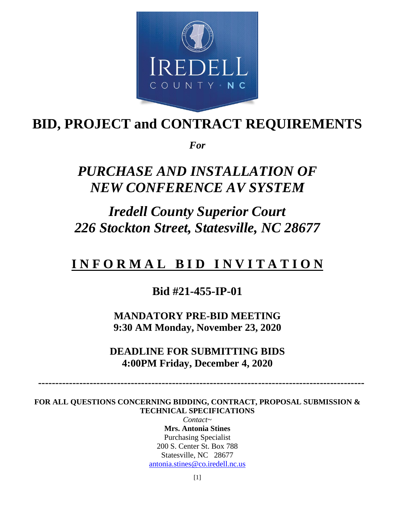

# **BID, PROJECT and CONTRACT REQUIREMENTS**

*For*

# *PURCHASE AND INSTALLATION OF NEW CONFERENCE AV SYSTEM*

# *Iredell County Superior Court 226 Stockton Street, Statesville, NC 28677*

## **I N F O R M A L B I D I N V I T A T I O N**

## **Bid #21-455-IP-01**

**MANDATORY PRE-BID MEETING 9:30 AM Monday, November 23, 2020**

**DEADLINE FOR SUBMITTING BIDS 4:00PM Friday, December 4, 2020**

 **-----------------------------------------------------------------------------------------------**

**FOR ALL QUESTIONS CONCERNING BIDDING, CONTRACT, PROPOSAL SUBMISSION & TECHNICAL SPECIFICATIONS** 

*Contact~* **Mrs. Antonia Stines** Purchasing Specialist 200 S. Center St. Box 788 Statesville, NC 28677 [antonia.stines@co.iredell.nc.us](mailto:antonia.stines@co.iredell.nc.us)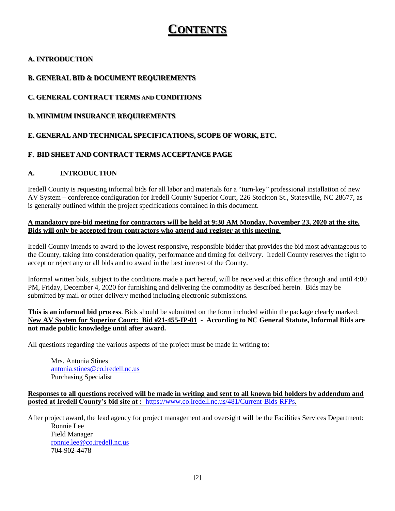## **CONTENTS**

## **A. INTRODUCTION**

## **B. GENERAL BID & DOCUMENT REQUIREMENTS**

## **C. GENERAL CONTRACT TERMS AND CONDITIONS**

**D. MINIMUM INSURANCE REQUIREMENTS**

## **E. GENERAL AND TECHNICAL SPECIFICATIONS, SCOPE OF WORK, ETC.**

## **F. BID SHEET AND CONTRACT TERMS ACCEPTANCE PAGE**

### **A. INTRODUCTION**

Iredell County is requesting informal bids for all labor and materials for a "turn-key" professional installation of new AV System – conference configuration for Iredell County Superior Court, 226 Stockton St., Statesville, NC 28677, as is generally outlined within the project specifications contained in this document.

#### **A mandatory pre-bid meeting for contractors will be held at 9:30 AM Monday, November 23, 2020 at the site. Bids will only be accepted from contractors who attend and register at this meeting.**

Iredell County intends to award to the lowest responsive, responsible bidder that provides the bid most advantageous to the County, taking into consideration quality, performance and timing for delivery. Iredell County reserves the right to accept or reject any or all bids and to award in the best interest of the County.

Informal written bids, subject to the conditions made a part hereof, will be received at this office through and until 4:00 PM, Friday, December 4, 2020 for furnishing and delivering the commodity as described herein. Bids may be submitted by mail or other delivery method including electronic submissions.

**This is an informal bid process**. Bids should be submitted on the form included within the package clearly marked: **New AV System for Superior Court: Bid #21-455-IP-01 - According to NC General Statute, Informal Bids are not made public knowledge until after award.** 

All questions regarding the various aspects of the project must be made in writing to:

Mrs. Antonia Stines [antonia.stines@co.iredell.nc.us](mailto:antonia.stines@co.iredell.nc.us) Purchasing Specialist

**Responses to all questions received will be made in writing and sent to all known bid holders by addendum and posted at Iredell County's bid site at :** <https://www.co.iredell.nc.us/481/Current-Bids-RFPs>**.** 

After project award, the lead agency for project management and oversight will be the Facilities Services Department: Ronnie Lee Field Manager [ronnie.lee@co.iredell.nc.us](mailto:ronnie.lee@co.iredell.nc.us) 704-902-4478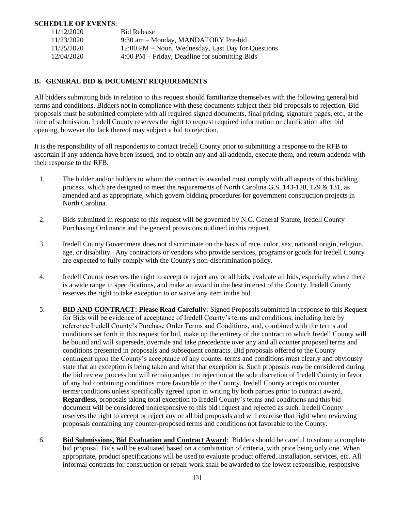#### **SCHEDULE OF EVENTS**:

| 11/12/2020 | <b>Bid Release</b>                                               |
|------------|------------------------------------------------------------------|
| 11/23/2020 | 9:30 am – Monday, MANDATORY Pre-bid                              |
| 11/25/2020 | 12:00 PM – Noon, Wednesday, Last Day for Questions               |
| 12/04/2020 | $4:00 \text{ PM} - \text{Friday}$ , Deadline for submitting Bids |

#### **B. GENERAL BID & DOCUMENT REQUIREMENTS**

All bidders submitting bids in relation to this request should familiarize themselves with the following general bid terms and conditions. Bidders not in compliance with these documents subject their bid proposals to rejection. Bid proposals must be submitted complete with all required signed documents, final pricing, signature pages, etc., at the time of submission. Iredell County reserves the right to request required information or clarification after bid opening, however the lack thereof may subject a bid to rejection.

It is the responsibility of all respondents to contact Iredell County prior to submitting a response to the RFB to ascertain if any addenda have been issued, and to obtain any and all addenda, execute them, and return addenda with their response to the RFB.

- 1. The bidder and/or bidders to whom the contract is awarded must comply with all aspects of this bidding process, which are designed to meet the requirements of North Carolina G.S. 143-128, 129 & 131, as amended and as appropriate, which govern bidding procedures for government construction projects in North Carolina.
- 2. Bids submitted in response to this request will be governed by N.C. General Statute, Iredell County Purchasing Ordinance and the general provisions outlined in this request.
- 3. Iredell County Government does not discriminate on the basis of race, color, sex, national origin, religion, age, or disability. Any contractors or vendors who provide services, programs or goods for Iredell County are expected to fully comply with the County's non-discrimination policy.
- 4. Iredell County reserves the right to accept or reject any or all bids, evaluate all bids, especially where there is a wide range in specifications, and make an award in the best interest of the County. Iredell County reserves the right to take exception to or waive any item in the bid.
- 5. **BID AND CONTRACT: Please Read Carefully:** Signed Proposals submitted in response to this Request for Bids will be evidence of acceptance of Iredell County's terms and conditions, including here by reference Iredell County's Purchase Order Terms and Conditions, and, combined with the terms and conditions set forth in this request for bid, make up the entirety of the contract to which Iredell County will be bound and will supersede, override and take precedence over any and all counter proposed terms and conditions presented in proposals and subsequent contracts. Bid proposals offered to the County contingent upon the County's acceptance of any counter-terms and conditions must clearly and obviously state that an exception is being taken and what that exception is. Such proposals *may* be considered during the bid review process but will remain subject to rejection at the sole discretion of Iredell County in favor of any bid containing conditions more favorable to the County. Iredell County accepts no counter terms/conditions unless specifically agreed upon in writing by both parties prior to contract award. **Regardless**, proposals taking total exception to Iredell County's terms and conditions and this bid document will be considered nonresponsive to this bid request and rejected as such. Iredell County reserves the right to accept or reject any or all bid proposals and will exercise that right when reviewing proposals containing any counter-proposed terms and conditions not favorable to the County.
- 6. **Bid Submissions, Bid Evaluation and Contract Award**: Bidders should be careful to submit a complete bid proposal. Bids will be evaluated based on a combination of criteria, with price being only one. When appropriate, product specifications will be used to evaluate product offered, installation, services, etc. All informal contracts for construction or repair work shall be awarded to the lowest responsible, responsive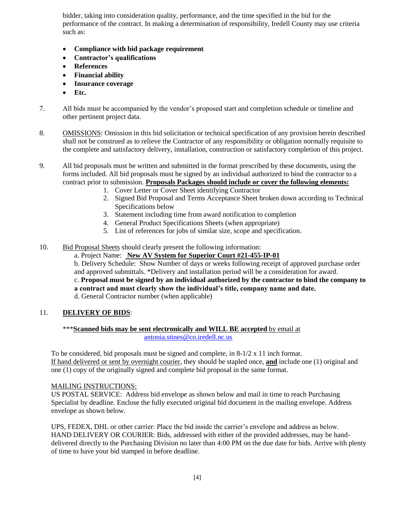bidder, taking into consideration quality, performance, and the time specified in the bid for the performance of the contract. In making a determination of responsibility, Iredell County may use criteria such as:

- **Compliance with bid package requirement**
- **Contractor's qualifications**
- **References**
- **Financial ability**
- **Insurance coverage**
- **Etc.**
- 7. All bids must be accompanied by the vendor's proposed start and completion schedule or timeline and other pertinent project data.
- 8. OMISSIONS: Omission in this bid solicitation or technical specification of any provision herein described shall not be construed as to relieve the Contractor of any responsibility or obligation normally requisite to the complete and satisfactory delivery, installation, construction or satisfactory completion of this project.

9. All bid proposals must be written and submitted in the format prescribed by these documents, using the forms included. All bid proposals must be signed by an individual authorized to bind the contractor to a contract prior to submission. **Proposals Packages should include or cover the following elements:**

- 1. Cover Letter or Cover Sheet identifying Contractor
- 2. Signed Bid Proposal and Terms Acceptance Sheet broken down according to Technical Specifications below
- 3. Statement including time from award notification to completion
- 4. General Product Specifications Sheets (when appropriate)
- 5. List of references for jobs of similar size, scope and specification.
- 10. Bid Proposal Sheets should clearly present the following information:

a. Project Name: **New AV System for Superior Court #21-455-IP-01**

b. Delivery Schedule: Show Number of days or weeks following receipt of approved purchase order and approved submittals. \*Delivery and installation period will be a consideration for award.

c. **Proposal must be signed by an individual authorized by the contractor to bind the company to a contract and must clearly show the individual's title, company name and date.**

d. General Contractor number (when applicable)

#### 11. **DELIVERY OF BIDS**:

#### \*\*\***Scanned bids may be sent electronically and WILL BE accepted** by email at [antonia.stines@co.iredell.nc.us](mailto:antonia.stines@co.iredell.nc.us)

To be considered, bid proposals must be signed and complete, in  $8-1/2 \times 11$  inch format. If hand delivered or sent by overnight courier, they should be stapled once, **and** include one (1) original and one (1) copy of the originally signed and complete bid proposal in the same format.

### MAILING INSTRUCTIONS:

US POSTAL SERVICE: Address bid envelope as shown below and mail in time to reach Purchasing Specialist by deadline. Enclose the fully executed original bid document in the mailing envelope. Address envelope as shown below.

UPS, FEDEX, DHL or other carrier: Place the bid inside the carrier's envelope and address as below. HAND DELIVERY OR COURIER: Bids, addressed with either of the provided addresses, may be handdelivered directly to the Purchasing Division no later than 4:00 PM on the due date for bids. Arrive with plenty of time to have your bid stamped in before deadline.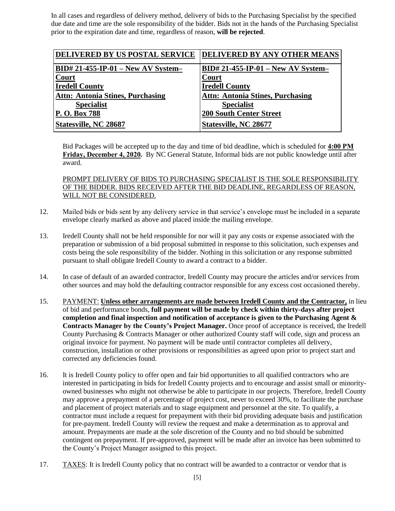In all cases and regardless of delivery method, delivery of bids to the Purchasing Specialist by the specified due date and time are the sole responsibility of the bidder. Bids not in the hands of the Purchasing Specialist prior to the expiration date and time, regardless of reason, **will be rejected**.

| <b>DELIVERED BY US POSTAL SERVICE</b>   | DELIVERED BY ANY OTHER MEANS            |
|-----------------------------------------|-----------------------------------------|
| $BID# 21-455-IP-01 - New AV System-$    | $BID# 21-455-IP-01 - New AV System-$    |
| <b>Court</b>                            | Court                                   |
| <b>Iredell County</b>                   | <b>Iredell County</b>                   |
| <b>Attn: Antonia Stines, Purchasing</b> | <b>Attn: Antonia Stines, Purchasing</b> |
| <b>Specialist</b>                       | <b>Specialist</b>                       |
| P. O. Box 788                           | <b>200 South Center Street</b>          |
| Statesville, NC 28687                   | Statesville, NC 28677                   |

Bid Packages will be accepted up to the day and time of bid deadline, which is scheduled for **4:00 PM Friday, December 4, 2020.** By NC General Statute, Informal bids are not public knowledge until after award.

#### PROMPT DELIVERY OF BIDS TO PURCHASING SPECIALIST IS THE SOLE RESPONSIBILITY OF THE BIDDER. BIDS RECEIVED AFTER THE BID DEADLINE, REGARDLESS OF REASON, WILL NOT BE CONSIDERED.

- 12. Mailed bids or bids sent by any delivery service in that service's envelope must be included in a separate envelope clearly marked as above and placed inside the mailing envelope.
- 13. Iredell County shall not be held responsible for nor will it pay any costs or expense associated with the preparation or submission of a bid proposal submitted in response to this solicitation, such expenses and costs being the sole responsibility of the bidder. Nothing in this solicitation or any response submitted pursuant to shall obligate Iredell County to award a contract to a bidder.
- 14. In case of default of an awarded contractor, Iredell County may procure the articles and/or services from other sources and may hold the defaulting contractor responsible for any excess cost occasioned thereby.
- 15. PAYMENT: **Unless other arrangements are made between Iredell County and the Contractor,** in lieu of bid and performance bonds, **full payment will be made by check within thirty-days after project completion and final inspection and notification of acceptance is given to the Purchasing Agent & Contracts Manager by the County's Project Manager.** Once proof of acceptance is received, the Iredell County Purchasing & Contracts Manager or other authorized County staff will code, sign and process an original invoice for payment. No payment will be made until contractor completes all delivery, construction, installation or other provisions or responsibilities as agreed upon prior to project start and corrected any deficiencies found.
- 16. It is Iredell County policy to offer open and fair bid opportunities to all qualified contractors who are interested in participating in bids for Iredell County projects and to encourage and assist small or minorityowned businesses who might not otherwise be able to participate in our projects. Therefore, Iredell County may approve a prepayment of a percentage of project cost, never to exceed 30%, to facilitate the purchase and placement of project materials and to stage equipment and personnel at the site. To qualify, a contractor must include a request for prepayment with their bid providing adequate basis and justification for pre-payment. Iredell County will review the request and make a determination as to approval and amount. Prepayments are made at the sole discretion of the County and no bid should be submitted contingent on prepayment. If pre-approved, payment will be made after an invoice has been submitted to the County's Project Manager assigned to this project.
- 17. TAXES: It is Iredell County policy that no contract will be awarded to a contractor or vendor that is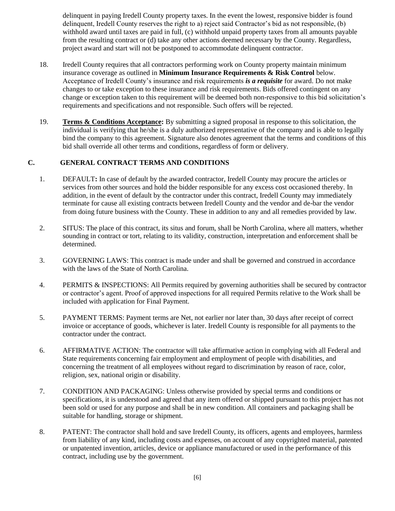delinquent in paying Iredell County property taxes. In the event the lowest, responsive bidder is found delinquent, Iredell County reserves the right to a) reject said Contractor's bid as not responsible, (b) withhold award until taxes are paid in full, (c) withhold unpaid property taxes from all amounts payable from the resulting contract or (d) take any other actions deemed necessary by the County. Regardless, project award and start will not be postponed to accommodate delinquent contractor.

- 18. Iredell County requires that all contractors performing work on County property maintain minimum insurance coverage as outlined in **Minimum Insurance Requirements & Risk Control** below. Acceptance of Iredell County's insurance and risk requirements *is a requisite* for award. Do not make changes to or take exception to these insurance and risk requirements. Bids offered contingent on any change or exception taken to this requirement will be deemed both non-responsive to this bid solicitation's requirements and specifications and not responsible. Such offers will be rejected.
- 19. **Terms & Conditions Acceptance:** By submitting a signed proposal in response to this solicitation, the individual is verifying that he/she is a duly authorized representative of the company and is able to legally bind the company to this agreement. Signature also denotes agreement that the terms and conditions of this bid shall override all other terms and conditions, regardless of form or delivery.

#### **C. GENERAL CONTRACT TERMS AND CONDITIONS**

- 1. DEFAULT**:** In case of default by the awarded contractor, Iredell County may procure the articles or services from other sources and hold the bidder responsible for any excess cost occasioned thereby. In addition, in the event of default by the contractor under this contract, Iredell County may immediately terminate for cause all existing contracts between Iredell County and the vendor and de-bar the vendor from doing future business with the County. These in addition to any and all remedies provided by law.
- 2. SITUS: The place of this contract, its situs and forum, shall be North Carolina, where all matters, whether sounding in contract or tort, relating to its validity, construction, interpretation and enforcement shall be determined.
- 3. GOVERNING LAWS: This contract is made under and shall be governed and construed in accordance with the laws of the State of North Carolina.
- 4. PERMITS & INSPECTIONS: All Permits required by governing authorities shall be secured by contractor or contractor's agent. Proof of approved inspections for all required Permits relative to the Work shall be included with application for Final Payment.
- 5. PAYMENT TERMS: Payment terms are Net, not earlier nor later than, 30 days after receipt of correct invoice or acceptance of goods, whichever is later. Iredell County is responsible for all payments to the contractor under the contract.
- 6. AFFIRMATIVE ACTION: The contractor will take affirmative action in complying with all Federal and State requirements concerning fair employment and employment of people with disabilities, and concerning the treatment of all employees without regard to discrimination by reason of race, color, religion, sex, national origin or disability.
- 7. CONDITION AND PACKAGING: Unless otherwise provided by special terms and conditions or specifications, it is understood and agreed that any item offered or shipped pursuant to this project has not been sold or used for any purpose and shall be in new condition. All containers and packaging shall be suitable for handling, storage or shipment.
- 8. PATENT: The contractor shall hold and save Iredell County, its officers, agents and employees, harmless from liability of any kind, including costs and expenses, on account of any copyrighted material, patented or unpatented invention, articles, device or appliance manufactured or used in the performance of this contract, including use by the government.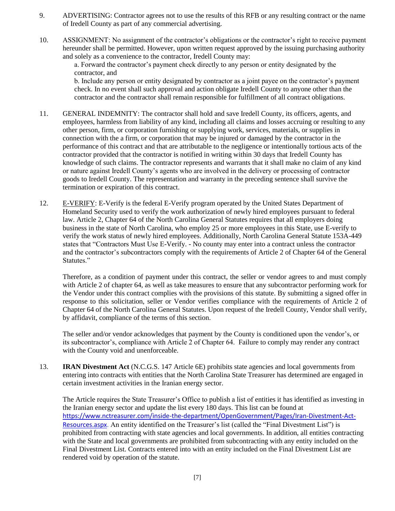- 9. ADVERTISING: Contractor agrees not to use the results of this RFB or any resulting contract or the name of Iredell County as part of any commercial advertising.
- 10. ASSIGNMENT: No assignment of the contractor's obligations or the contractor's right to receive payment hereunder shall be permitted. However, upon written request approved by the issuing purchasing authority and solely as a convenience to the contractor, Iredell County may:

a. Forward the contractor's payment check directly to any person or entity designated by the contractor, and

b. Include any person or entity designated by contractor as a joint payee on the contractor's payment check. In no event shall such approval and action obligate Iredell County to anyone other than the contractor and the contractor shall remain responsible for fulfillment of all contract obligations.

- 11. GENERAL INDEMNITY: The contractor shall hold and save Iredell County, its officers, agents, and employees, harmless from liability of any kind, including all claims and losses accruing or resulting to any other person, firm, or corporation furnishing or supplying work, services, materials, or supplies in connection with the a firm, or corporation that may be injured or damaged by the contractor in the performance of this contract and that are attributable to the negligence or intentionally tortious acts of the contractor provided that the contractor is notified in writing within 30 days that Iredell County has knowledge of such claims. The contractor represents and warrants that it shall make no claim of any kind or nature against Iredell County's agents who are involved in the delivery or processing of contractor goods to Iredell County. The representation and warranty in the preceding sentence shall survive the termination or expiration of this contract.
- 12. E-VERIFY: E-Verify is the federal E-Verify program operated by the United States Department of Homeland Security used to verify the work authorization of newly hired employees pursuant to federal law. Article 2, Chapter 64 of the North Carolina General Statutes requires that all employers doing business in the state of North Carolina, who employ 25 or more employees in this State, use E-verify to verify the work status of newly hired employees. Additionally, North Carolina General Statute 153A-449 states that "Contractors Must Use E-Verify. - No county may enter into a contract unless the contractor and the contractor's subcontractors comply with the requirements of Article 2 of Chapter 64 of the General Statutes."

Therefore, as a condition of payment under this contract, the seller or vendor agrees to and must comply with Article 2 of chapter 64, as well as take measures to ensure that any subcontractor performing work for the Vendor under this contract complies with the provisions of this statute. By submitting a signed offer in response to this solicitation, seller or Vendor verifies compliance with the requirements of Article 2 of Chapter 64 of the North Carolina General Statutes. Upon request of the Iredell County, Vendor shall verify, by affidavit, compliance of the terms of this section.

The seller and/or vendor acknowledges that payment by the County is conditioned upon the vendor's, or its subcontractor's, compliance with Article 2 of Chapter 64. Failure to comply may render any contract with the County void and unenforceable.

13. **IRAN Divestment Act** (N.C.G.S. 147 Article 6E) prohibits state agencies and local governments from entering into contracts with entities that the North Carolina State Treasurer has determined are engaged in certain investment activities in the Iranian energy sector.

The Article requires the State Treasurer's Office to publish a list of entities it has identified as investing in the Iranian energy sector and update the list every 180 days. This list can be found at [https://www.nctreasurer.com/inside-the-department/OpenGovernment/Pages/Iran-Divestment-Act-](https://www.nctreasurer.com/inside-the-department/OpenGovernment/Pages/Iran-Divestment-Act-Resources.aspx)[Resources.aspx.](https://www.nctreasurer.com/inside-the-department/OpenGovernment/Pages/Iran-Divestment-Act-Resources.aspx) An entity identified on the Treasurer's list (called the "Final Divestment List") is prohibited from contracting with state agencies and local governments. In addition, all entities contracting with the State and local governments are prohibited from subcontracting with any entity included on the Final Divestment List. Contracts entered into with an entity included on the Final Divestment List are rendered void by operation of the statute.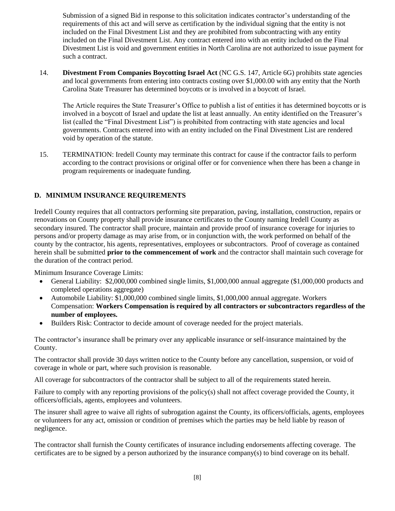Submission of a signed Bid in response to this solicitation indicates contractor's understanding of the requirements of this act and will serve as certification by the individual signing that the entity is not included on the Final Divestment List and they are prohibited from subcontracting with any entity included on the Final Divestment List. Any contract entered into with an entity included on the Final Divestment List is void and government entities in North Carolina are not authorized to issue payment for such a contract.

14. **Divestment From Companies Boycotting Israel Act** (NC G.S. 147, Article 6G) prohibits state agencies and local governments from entering into contracts costing over \$1,000.00 with any entity that the North Carolina State Treasurer has determined boycotts or is involved in a boycott of Israel.

The Article requires the State Treasurer's Office to publish a list of entities it has determined boycotts or is involved in a boycott of Israel and update the list at least annually. An entity identified on the Treasurer's list (called the "Final Divestment List") is prohibited from contracting with state agencies and local governments. Contracts entered into with an entity included on the Final Divestment List are rendered void by operation of the statute.

15. TERMINATION: Iredell County may terminate this contract for cause if the contractor fails to perform according to the contract provisions or original offer or for convenience when there has been a change in program requirements or inadequate funding.

### **D. MINIMUM INSURANCE REQUIREMENTS**

Iredell County requires that all contractors performing site preparation, paving, installation, construction, repairs or renovations on County property shall provide insurance certificates to the County naming Iredell County as secondary insured. The contractor shall procure, maintain and provide proof of insurance coverage for injuries to persons and/or property damage as may arise from, or in conjunction with, the work performed on behalf of the county by the contractor, his agents, representatives, employees or subcontractors. Proof of coverage as contained herein shall be submitted **prior to the commencement of work** and the contractor shall maintain such coverage for the duration of the contract period.

Minimum Insurance Coverage Limits:

- General Liability: \$2,000,000 combined single limits, \$1,000,000 annual aggregate (\$1,000,000 products and completed operations aggregate)
- Automobile Liability: \$1,000,000 combined single limits, \$1,000,000 annual aggregate. Workers Compensation: **Workers Compensation is required by all contractors or subcontractors regardless of the number of employees.**
- Builders Risk: Contractor to decide amount of coverage needed for the project materials.

The contractor's insurance shall be primary over any applicable insurance or self-insurance maintained by the County.

The contractor shall provide 30 days written notice to the County before any cancellation, suspension, or void of coverage in whole or part, where such provision is reasonable.

All coverage for subcontractors of the contractor shall be subject to all of the requirements stated herein.

Failure to comply with any reporting provisions of the policy(s) shall not affect coverage provided the County, it officers/officials, agents, employees and volunteers.

The insurer shall agree to waive all rights of subrogation against the County, its officers/officials, agents, employees or volunteers for any act, omission or condition of premises which the parties may be held liable by reason of negligence.

The contractor shall furnish the County certificates of insurance including endorsements affecting coverage. The certificates are to be signed by a person authorized by the insurance company(s) to bind coverage on its behalf.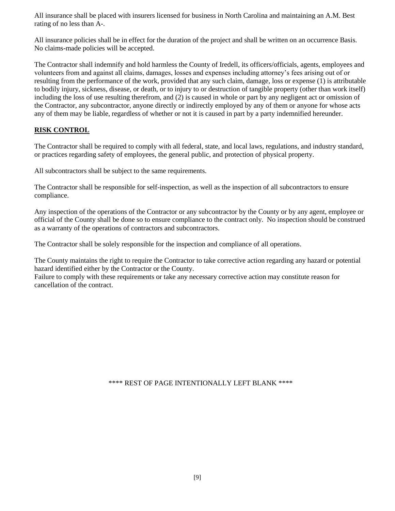All insurance shall be placed with insurers licensed for business in North Carolina and maintaining an A.M. Best rating of no less than A-.

All insurance policies shall be in effect for the duration of the project and shall be written on an occurrence Basis. No claims-made policies will be accepted.

The Contractor shall indemnify and hold harmless the County of Iredell, its officers/officials, agents, employees and volunteers from and against all claims, damages, losses and expenses including attorney's fees arising out of or resulting from the performance of the work, provided that any such claim, damage, loss or expense (1) is attributable to bodily injury, sickness, disease, or death, or to injury to or destruction of tangible property (other than work itself) including the loss of use resulting therefrom, and (2) is caused in whole or part by any negligent act or omission of the Contractor, any subcontractor, anyone directly or indirectly employed by any of them or anyone for whose acts any of them may be liable, regardless of whether or not it is caused in part by a party indemnified hereunder.

#### **RISK CONTROL**

The Contractor shall be required to comply with all federal, state, and local laws, regulations, and industry standard, or practices regarding safety of employees, the general public, and protection of physical property.

All subcontractors shall be subject to the same requirements.

The Contractor shall be responsible for self-inspection, as well as the inspection of all subcontractors to ensure compliance.

Any inspection of the operations of the Contractor or any subcontractor by the County or by any agent, employee or official of the County shall be done so to ensure compliance to the contract only. No inspection should be construed as a warranty of the operations of contractors and subcontractors.

The Contractor shall be solely responsible for the inspection and compliance of all operations.

The County maintains the right to require the Contractor to take corrective action regarding any hazard or potential hazard identified either by the Contractor or the County.

Failure to comply with these requirements or take any necessary corrective action may constitute reason for cancellation of the contract.

\*\*\*\* REST OF PAGE INTENTIONALLY LEFT BLANK \*\*\*\*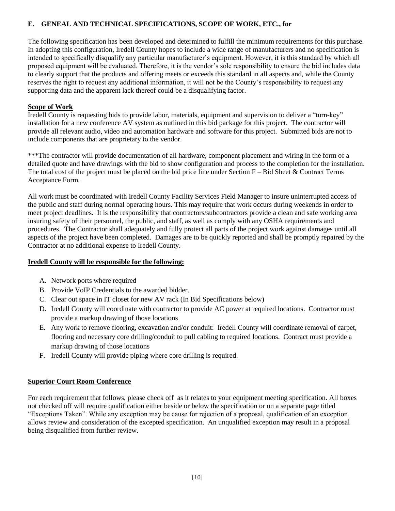#### **E. GENEAL AND TECHNICAL SPECIFICATIONS, SCOPE OF WORK, ETC., for**

The following specification has been developed and determined to fulfill the minimum requirements for this purchase. In adopting this configuration, Iredell County hopes to include a wide range of manufacturers and no specification is intended to specifically disqualify any particular manufacturer's equipment. However, it is this standard by which all proposed equipment will be evaluated. Therefore, it is the vendor's sole responsibility to ensure the bid includes data to clearly support that the products and offering meets or exceeds this standard in all aspects and, while the County reserves the right to request any additional information, it will not be the County's responsibility to request any supporting data and the apparent lack thereof could be a disqualifying factor.

#### **Scope of Work**

Iredell County is requesting bids to provide labor, materials, equipment and supervision to deliver a "turn-key" installation for a new conference AV system as outlined in this bid package for this project. The contractor will provide all relevant audio, video and automation hardware and software for this project. Submitted bids are not to include components that are proprietary to the vendor.

\*\*\*The contractor will provide documentation of all hardware, component placement and wiring in the form of a detailed quote and have drawings with the bid to show configuration and process to the completion for the installation. The total cost of the project must be placed on the bid price line under Section  $F - B$ id Sheet & Contract Terms Acceptance Form.

All work must be coordinated with Iredell County Facility Services Field Manager to insure uninterrupted access of the public and staff during normal operating hours. This may require that work occurs during weekends in order to meet project deadlines. It is the responsibility that contractors/subcontractors provide a clean and safe working area insuring safety of their personnel, the public, and staff, as well as comply with any OSHA requirements and procedures. The Contractor shall adequately and fully protect all parts of the project work against damages until all aspects of the project have been completed. Damages are to be quickly reported and shall be promptly repaired by the Contractor at no additional expense to Iredell County.

#### **Iredell County will be responsible for the following:**

- A. Network ports where required
- B. Provide VoIP Credentials to the awarded bidder.
- C. Clear out space in IT closet for new AV rack (In Bid Specifications below)
- D. Iredell County will coordinate with contractor to provide AC power at required locations. Contractor must provide a markup drawing of those locations
- E. Any work to remove flooring, excavation and/or conduit: Iredell County will coordinate removal of carpet, flooring and necessary core drilling/conduit to pull cabling to required locations. Contract must provide a markup drawing of those locations
- F. Iredell County will provide piping where core drilling is required.

## **Superior Court Room Conference**

For each requirement that follows, please check off as it relates to your equipment meeting specification. All boxes not checked off will require qualification either beside or below the specification or on a separate page titled "Exceptions Taken". While any exception may be cause for rejection of a proposal, qualification of an exception allows review and consideration of the excepted specification. An unqualified exception may result in a proposal being disqualified from further review.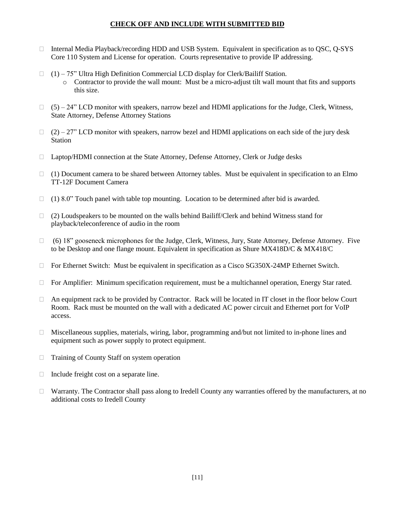#### **CHECK OFF AND INCLUDE WITH SUBMITTED BID**

- $\Box$  Internal Media Playback/recording HDD and USB System. Equivalent in specification as to QSC, Q-SYS Core 110 System and License for operation. Courts representative to provide IP addressing.
- $(1)$  75" Ultra High Definition Commercial LCD display for Clerk/Bailiff Station. o Contractor to provide the wall mount: Must be a micro-adjust tilt wall mount that fits and supports this size.
- $\Box$  (5) 24" LCD monitor with speakers, narrow bezel and HDMI applications for the Judge, Clerk, Witness, State Attorney, Defense Attorney Stations
- $(2) 27$ " LCD monitor with speakers, narrow bezel and HDMI applications on each side of the jury desk **Station**
- Laptop/HDMI connection at the State Attorney, Defense Attorney, Clerk or Judge desks
- $\Box$  (1) Document camera to be shared between Attorney tables. Must be equivalent in specification to an Elmo TT-12F Document Camera
- $\Box$  (1) 8.0" Touch panel with table top mounting. Location to be determined after bid is awarded.
- $\Box$  (2) Loudspeakers to be mounted on the walls behind Bailiff/Clerk and behind Witness stand for playback/teleconference of audio in the room
- $\Box$  (6) 18" gooseneck microphones for the Judge, Clerk, Witness, Jury, State Attorney, Defense Attorney. Five to be Desktop and one flange mount. Equivalent in specification as Shure MX418D/C & MX418/C
- $\Box$  For Ethernet Switch: Must be equivalent in specification as a Cisco SG350X-24MP Ethernet Switch.
- $\Box$  For Amplifier: Minimum specification requirement, must be a multichannel operation, Energy Star rated.
- $\Box$  An equipment rack to be provided by Contractor. Rack will be located in IT closet in the floor below Court Room. Rack must be mounted on the wall with a dedicated AC power circuit and Ethernet port for VoIP access.
- $\Box$  Miscellaneous supplies, materials, wiring, labor, programming and/but not limited to in-phone lines and equipment such as power supply to protect equipment.
- □ Training of County Staff on system operation
- $\Box$  Include freight cost on a separate line.
- $\Box$  Warranty. The Contractor shall pass along to Iredell County any warranties offered by the manufacturers, at no additional costs to Iredell County